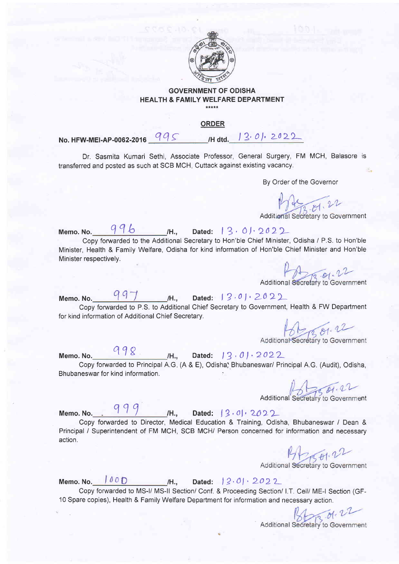

## GOVERNMENT OF ODISHA HEALTH & FAMILY WELFARE DEPARTMENT \*\*\*\*\*

## **ORDER**

No. HFW-MEI-AP-0062-2016 995 Hdtd. 13.01. 2022

Dr. Sasmita Kumari Sethi, Associate Professor, General Surgery, FM MCH, Balasore is transferred and posted as such at SCB MCH, Cuttack against existing vacancy.

By Order of the Governor

Additional Secretary to Government

Memo. No. Copy forwarded to the Additional Secretary to Hon'ble Chief Minister, Odisha / P.S. to Hon'ble Minister, Health & Family Welfare, Odisha for kind information of Hon'ble Chief Minister and Hon'ble Minister respectively. 996 M., Dated: 13.01.2022

Additional Secretary to Government

Memo. No.  $997$  H., Dated:  $13.01.2022$ Copy forwarded to P.S. to Additional Chief Secretary to Government, Health & FW Department for kind information of Additional Chief Secretary.

Additional Secretary to Government

Copy forwarded to Principal A.G. (A & E), Odisha, Bhubaneswar/ Principal A.G. (Audit), Odisha Bhubaneswar for kind information. Memo. No.  $98$  H., Dated: 13.01.2022

Additional Secretary to Government

Memo.No. , q19 /H., Dated: l9,ol, 2O>2-

Copy fonuarded to Director, Medical Education & Training, Odisha, Bhubaneswar / Dean & Principal / Superintendent of FM MCH, SCB MCH/ Person concerned for information and necessary action.

Additional Secretary to Government

Memo: No.  $| 00D |$  /H., Dated:  $| 2.01 \cdot 2022$ Copy forwarded to MS-l/ MS-ll Section/ Conf. & Proceeding Section/ l.T. Cell/ ME-l Section (GF- '10 Spare copies), Health & Family Welfare Department for information and necessary action.

Additional Secretary to Government